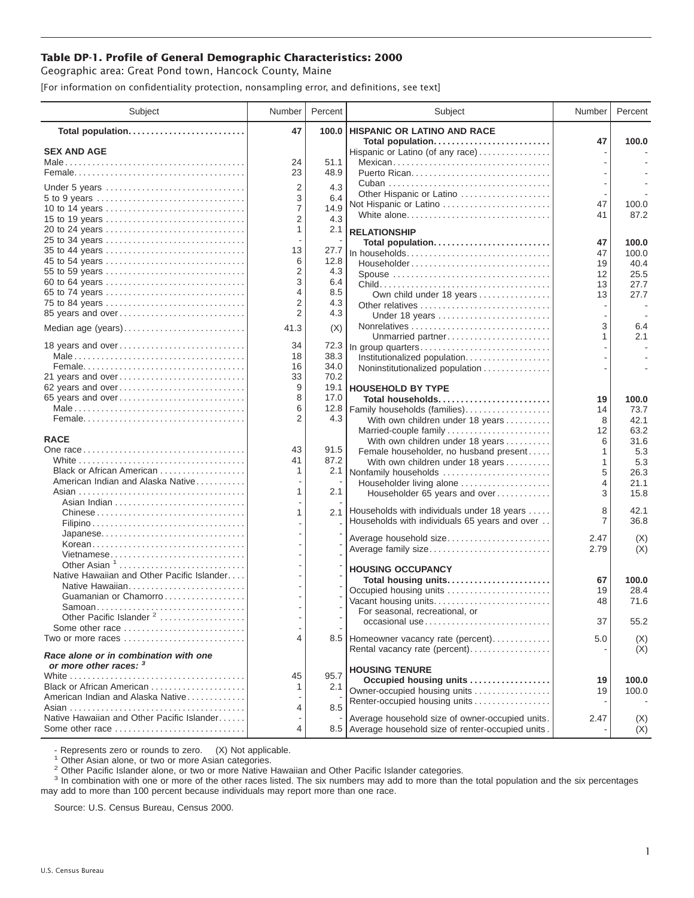## **Table DP-1. Profile of General Demographic Characteristics: 2000**

Geographic area: Great Pond town, Hancock County, Maine

[For information on confidentiality protection, nonsampling error, and definitions, see text]

| Subject                                    | Number              | Percent      | Subject                                                          | Number   | Percent       |
|--------------------------------------------|---------------------|--------------|------------------------------------------------------------------|----------|---------------|
| Total population                           | 47                  | 100.0        | <b>HISPANIC OR LATINO AND RACE</b>                               |          |               |
| <b>SEX AND AGE</b>                         |                     |              | Total population<br>Hispanic or Latino (of any race)             | 47       | 100.0         |
|                                            | 24                  | 51.1         | Mexican                                                          |          |               |
|                                            | 23                  | 48.9         |                                                                  |          |               |
|                                            |                     |              |                                                                  |          |               |
| Under 5 years                              | $\overline{2}$<br>3 | 4.3          | Other Hispanic or Latino                                         |          |               |
| 5 to 9 years<br>10 to 14 years             | $\overline{7}$      | 6.4<br>14.9  | Not Hispanic or Latino                                           | 47       | 100.0         |
| 15 to 19 years                             | $\overline{2}$      | 4.3          | White alone                                                      | 41       | 87.2          |
| 20 to 24 years                             | 1                   | 2.1          | <b>RELATIONSHIP</b>                                              |          |               |
| 25 to 34 years                             |                     |              | Total population                                                 | 47       | 100.0         |
| 35 to 44 years                             | 13                  | 27.7         |                                                                  | 47       | 100.0         |
| 45 to 54 years                             | 6                   | 12.8         | Householder                                                      | 19       | 40.4          |
| 55 to 59 years                             | 2                   | 4.3          |                                                                  | 12       | 25.5          |
| 60 to 64 years                             | 3                   | 6.4          |                                                                  | 13       | 27.7          |
| 65 to 74 years                             | 4                   | 8.5          | Own child under 18 years                                         | 13       | 27.7          |
| 75 to 84 years                             | $\overline{2}$      | 4.3          | Other relatives                                                  |          |               |
| 85 years and over                          | 2                   | 4.3          | Under 18 years                                                   |          |               |
| Median age (years)                         | 41.3                | (X)          |                                                                  | 3        | 6.4           |
|                                            |                     |              | Unmarried partner                                                | 1        | 2.1           |
| 18 years and over                          | 34                  | 72.3         | In group quarters                                                |          |               |
|                                            | 18                  | 38.3         | Institutionalized population                                     |          |               |
|                                            | 16                  | 34.0         | Noninstitutionalized population                                  |          |               |
| 21 years and over                          | 33<br>9             | 70.2<br>19.1 |                                                                  |          |               |
| 62 years and over                          | 8                   | 17.0         | <b>HOUSEHOLD BY TYPE</b>                                         |          |               |
| 65 years and over                          | 6                   | 12.8         | Total households                                                 | 19<br>14 | 100.0<br>73.7 |
|                                            | 2                   | 4.3          | Family households (families)<br>With own children under 18 years | 8        | 42.1          |
|                                            |                     |              | Married-couple family                                            | 12       | 63.2          |
| <b>RACE</b>                                |                     |              | With own children under 18 years                                 | 6        | 31.6          |
|                                            | 43                  | 91.5         | Female householder, no husband present                           | 1        | 5.3           |
|                                            | 41                  | 87.2         | With own children under 18 years                                 | 1        | 5.3           |
| Black or African American                  | 1                   |              | 2.1 Nonfamily households                                         | 5        | 26.3          |
| American Indian and Alaska Native          |                     |              | Householder living alone                                         | 4        | 21.1          |
|                                            | 1                   | 2.1          | Householder 65 years and over                                    | 3        | 15.8          |
|                                            |                     |              |                                                                  |          |               |
|                                            | 1                   |              | 2.1 Households with individuals under 18 years                   | 8        | 42.1          |
|                                            |                     |              | Households with individuals 65 years and over                    | 7        | 36.8          |
|                                            |                     |              | Average household size                                           | 2.47     | (X)           |
| Korean                                     |                     |              | Average family size                                              | 2.79     | (X)           |
| Vietnamese<br>Other Asian <sup>1</sup>     |                     |              |                                                                  |          |               |
| Native Hawaiian and Other Pacific Islander |                     |              | <b>HOUSING OCCUPANCY</b>                                         |          |               |
| Native Hawaiian                            |                     |              | Total housing units                                              | 67       | 100.0         |
| Guamanian or Chamorro                      |                     |              | Occupied housing units                                           | 19       | 28.4          |
| Samoan                                     |                     |              | Vacant housing units                                             | 48       | 71.6          |
| Other Pacific Islander <sup>2</sup>        |                     |              | For seasonal, recreational, or                                   |          |               |
| Some other race                            |                     |              | occasional use                                                   | 37       | 55.2          |
| Two or more races                          | 4                   |              | 8.5 Homeowner vacancy rate (percent)                             | 5.0      | (X)           |
| Race alone or in combination with one      |                     |              | Rental vacancy rate (percent)                                    |          | (X)           |
| or more other races: 3                     |                     |              | <b>HOUSING TENURE</b>                                            |          |               |
| Black or African American                  | 45                  | 95.7         | Occupied housing units                                           | 19       | 100.0         |
| American Indian and Alaska Native          | 1                   | 2.1          | Owner-occupied housing units                                     | 19       | 100.0         |
|                                            | 4                   | 8.5          | Renter-occupied housing units                                    |          |               |
| Native Hawaiian and Other Pacific Islander |                     |              | Average household size of owner-occupied units.                  | 2.47     | (X)           |
| Some other race                            | 4                   |              | 8.5 Average household size of renter-occupied units.             |          | (X)           |
|                                            |                     |              |                                                                  |          |               |

- Represents zero or rounds to zero. (X) Not applicable.<br><sup>1</sup> Other Asian alone, or two or more Asian categories.

<sup>2</sup> Other Pacific Islander alone, or two or more Native Hawaiian and Other Pacific Islander categories.<br><sup>3</sup> In combination with one or more of the other races listed. The six numbers may add to more than the total populati may add to more than 100 percent because individuals may report more than one race.

Source: U.S. Census Bureau, Census 2000.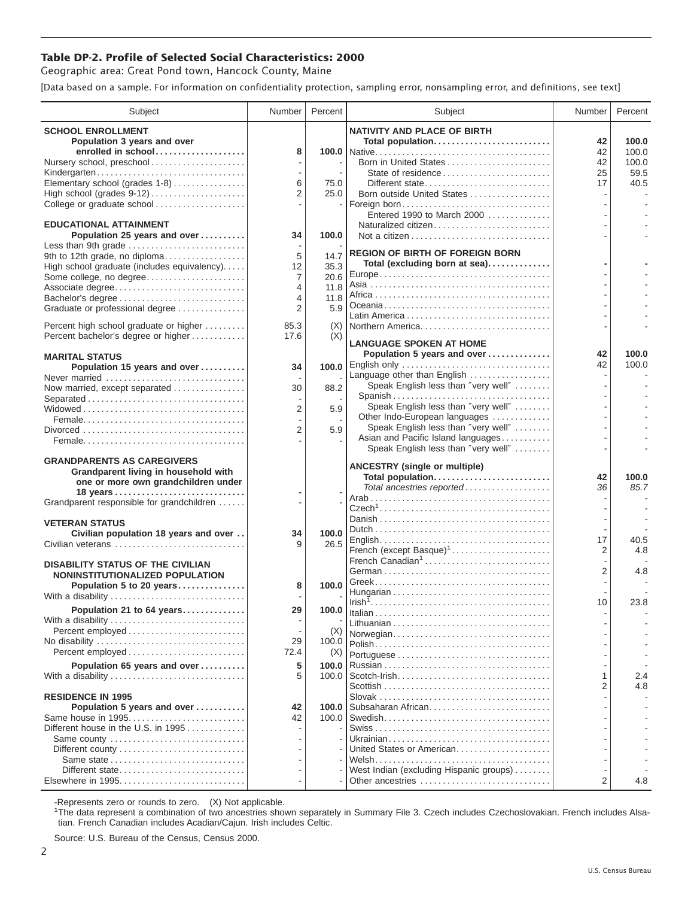## **Table DP-2. Profile of Selected Social Characteristics: 2000**

Geographic area: Great Pond town, Hancock County, Maine

[Data based on a sample. For information on confidentiality protection, sampling error, nonsampling error, and definitions, see text]

| <b>SCHOOL ENROLLMENT</b><br><b>NATIVITY AND PLACE OF BIRTH</b><br>Population 3 years and over<br>Total population<br>42<br>enrolled in school<br>8<br>42<br>Nursery school, preschool<br>Born in United States<br>42<br>State of residence<br>25<br>Kindergarten<br>Elementary school (grades 1-8)<br>6<br>75.0<br>17<br>Different state<br>$\overline{2}$<br>High school (grades 9-12)<br>25.0<br>Born outside United States<br>College or graduate school<br>Foreign born<br>Entered 1990 to March 2000<br><b>EDUCATIONAL ATTAINMENT</b><br>Naturalized citizen<br>100.0<br>Population 25 years and over<br>34<br>Less than 9th grade<br><b>REGION OF BIRTH OF FOREIGN BORN</b><br>5<br>9th to 12th grade, no diploma<br>14.7<br>Total (excluding born at sea)<br>35.3<br>High school graduate (includes equivalency)<br>12<br>Some college, no degree<br>$\overline{7}$<br>20.6<br>11.8<br>Associate degree<br>4 | Percent       |
|---------------------------------------------------------------------------------------------------------------------------------------------------------------------------------------------------------------------------------------------------------------------------------------------------------------------------------------------------------------------------------------------------------------------------------------------------------------------------------------------------------------------------------------------------------------------------------------------------------------------------------------------------------------------------------------------------------------------------------------------------------------------------------------------------------------------------------------------------------------------------------------------------------------------|---------------|
|                                                                                                                                                                                                                                                                                                                                                                                                                                                                                                                                                                                                                                                                                                                                                                                                                                                                                                                     |               |
|                                                                                                                                                                                                                                                                                                                                                                                                                                                                                                                                                                                                                                                                                                                                                                                                                                                                                                                     | 100.0         |
|                                                                                                                                                                                                                                                                                                                                                                                                                                                                                                                                                                                                                                                                                                                                                                                                                                                                                                                     | 100.0         |
|                                                                                                                                                                                                                                                                                                                                                                                                                                                                                                                                                                                                                                                                                                                                                                                                                                                                                                                     | 100.0         |
|                                                                                                                                                                                                                                                                                                                                                                                                                                                                                                                                                                                                                                                                                                                                                                                                                                                                                                                     | 59.5          |
|                                                                                                                                                                                                                                                                                                                                                                                                                                                                                                                                                                                                                                                                                                                                                                                                                                                                                                                     | 40.5          |
|                                                                                                                                                                                                                                                                                                                                                                                                                                                                                                                                                                                                                                                                                                                                                                                                                                                                                                                     |               |
|                                                                                                                                                                                                                                                                                                                                                                                                                                                                                                                                                                                                                                                                                                                                                                                                                                                                                                                     |               |
|                                                                                                                                                                                                                                                                                                                                                                                                                                                                                                                                                                                                                                                                                                                                                                                                                                                                                                                     |               |
|                                                                                                                                                                                                                                                                                                                                                                                                                                                                                                                                                                                                                                                                                                                                                                                                                                                                                                                     |               |
|                                                                                                                                                                                                                                                                                                                                                                                                                                                                                                                                                                                                                                                                                                                                                                                                                                                                                                                     |               |
|                                                                                                                                                                                                                                                                                                                                                                                                                                                                                                                                                                                                                                                                                                                                                                                                                                                                                                                     |               |
|                                                                                                                                                                                                                                                                                                                                                                                                                                                                                                                                                                                                                                                                                                                                                                                                                                                                                                                     |               |
|                                                                                                                                                                                                                                                                                                                                                                                                                                                                                                                                                                                                                                                                                                                                                                                                                                                                                                                     |               |
|                                                                                                                                                                                                                                                                                                                                                                                                                                                                                                                                                                                                                                                                                                                                                                                                                                                                                                                     |               |
| Bachelor's degree<br>11.8<br>4                                                                                                                                                                                                                                                                                                                                                                                                                                                                                                                                                                                                                                                                                                                                                                                                                                                                                      |               |
| $\overline{2}$<br>5.9<br>Graduate or professional degree                                                                                                                                                                                                                                                                                                                                                                                                                                                                                                                                                                                                                                                                                                                                                                                                                                                            |               |
| Percent high school graduate or higher<br>85.3<br>Northern America<br>(X)                                                                                                                                                                                                                                                                                                                                                                                                                                                                                                                                                                                                                                                                                                                                                                                                                                           |               |
| Percent bachelor's degree or higher<br>(X)<br>17.6                                                                                                                                                                                                                                                                                                                                                                                                                                                                                                                                                                                                                                                                                                                                                                                                                                                                  |               |
| <b>LANGUAGE SPOKEN AT HOME</b>                                                                                                                                                                                                                                                                                                                                                                                                                                                                                                                                                                                                                                                                                                                                                                                                                                                                                      |               |
| Population 5 years and over<br>42<br><b>MARITAL STATUS</b>                                                                                                                                                                                                                                                                                                                                                                                                                                                                                                                                                                                                                                                                                                                                                                                                                                                          | 100.0         |
| 42<br>Population 15 years and over<br>34                                                                                                                                                                                                                                                                                                                                                                                                                                                                                                                                                                                                                                                                                                                                                                                                                                                                            | 100.0         |
| Language other than English<br>Never married                                                                                                                                                                                                                                                                                                                                                                                                                                                                                                                                                                                                                                                                                                                                                                                                                                                                        |               |
| Speak English less than "very well"<br>Now married, except separated<br>88.2<br>30                                                                                                                                                                                                                                                                                                                                                                                                                                                                                                                                                                                                                                                                                                                                                                                                                                  |               |
| Spanish<br>Speak English less than "very well"                                                                                                                                                                                                                                                                                                                                                                                                                                                                                                                                                                                                                                                                                                                                                                                                                                                                      |               |
| 2<br>5.9<br>Other Indo-European languages                                                                                                                                                                                                                                                                                                                                                                                                                                                                                                                                                                                                                                                                                                                                                                                                                                                                           |               |
| Speak English less than "very well"<br>$\overline{2}$<br>5.9                                                                                                                                                                                                                                                                                                                                                                                                                                                                                                                                                                                                                                                                                                                                                                                                                                                        |               |
| Asian and Pacific Island languages                                                                                                                                                                                                                                                                                                                                                                                                                                                                                                                                                                                                                                                                                                                                                                                                                                                                                  |               |
| Speak English less than "very well"                                                                                                                                                                                                                                                                                                                                                                                                                                                                                                                                                                                                                                                                                                                                                                                                                                                                                 |               |
| <b>GRANDPARENTS AS CAREGIVERS</b>                                                                                                                                                                                                                                                                                                                                                                                                                                                                                                                                                                                                                                                                                                                                                                                                                                                                                   |               |
| <b>ANCESTRY (single or multiple)</b><br>Grandparent living in household with                                                                                                                                                                                                                                                                                                                                                                                                                                                                                                                                                                                                                                                                                                                                                                                                                                        |               |
| Total population<br>42<br>one or more own grandchildren under<br>Total ancestries reported<br>36                                                                                                                                                                                                                                                                                                                                                                                                                                                                                                                                                                                                                                                                                                                                                                                                                    | 100.0<br>85.7 |
| 18 years                                                                                                                                                                                                                                                                                                                                                                                                                                                                                                                                                                                                                                                                                                                                                                                                                                                                                                            |               |
| Grandparent responsible for grandchildren                                                                                                                                                                                                                                                                                                                                                                                                                                                                                                                                                                                                                                                                                                                                                                                                                                                                           |               |
| <b>VETERAN STATUS</b>                                                                                                                                                                                                                                                                                                                                                                                                                                                                                                                                                                                                                                                                                                                                                                                                                                                                                               |               |
| Civilian population 18 years and over<br>100.0<br>34                                                                                                                                                                                                                                                                                                                                                                                                                                                                                                                                                                                                                                                                                                                                                                                                                                                                |               |
| 17<br>26.5<br>Civilian veterans<br>g                                                                                                                                                                                                                                                                                                                                                                                                                                                                                                                                                                                                                                                                                                                                                                                                                                                                                | 40.5          |
| French (except Basque) <sup>1</sup><br>$\overline{2}$                                                                                                                                                                                                                                                                                                                                                                                                                                                                                                                                                                                                                                                                                                                                                                                                                                                               | 4.8           |
| French Canadian <sup>1</sup><br><b>DISABILITY STATUS OF THE CIVILIAN</b>                                                                                                                                                                                                                                                                                                                                                                                                                                                                                                                                                                                                                                                                                                                                                                                                                                            |               |
| $\overline{2}$<br>NONINSTITUTIONALIZED POPULATION                                                                                                                                                                                                                                                                                                                                                                                                                                                                                                                                                                                                                                                                                                                                                                                                                                                                   | 4.8           |
| Population 5 to 20 years<br>100.0<br>8                                                                                                                                                                                                                                                                                                                                                                                                                                                                                                                                                                                                                                                                                                                                                                                                                                                                              |               |
| With a disability<br>10                                                                                                                                                                                                                                                                                                                                                                                                                                                                                                                                                                                                                                                                                                                                                                                                                                                                                             | 23.8          |
| Population 21 to 64 years<br>100.0<br>29                                                                                                                                                                                                                                                                                                                                                                                                                                                                                                                                                                                                                                                                                                                                                                                                                                                                            |               |
| With a disability                                                                                                                                                                                                                                                                                                                                                                                                                                                                                                                                                                                                                                                                                                                                                                                                                                                                                                   |               |
| Percent employed<br>(X)<br>Norwegian                                                                                                                                                                                                                                                                                                                                                                                                                                                                                                                                                                                                                                                                                                                                                                                                                                                                                |               |
| No disability<br>29<br>100.0                                                                                                                                                                                                                                                                                                                                                                                                                                                                                                                                                                                                                                                                                                                                                                                                                                                                                        |               |
| Percent employed<br>72.4<br>(X)                                                                                                                                                                                                                                                                                                                                                                                                                                                                                                                                                                                                                                                                                                                                                                                                                                                                                     |               |
| Population 65 years and over<br>5<br>100.0                                                                                                                                                                                                                                                                                                                                                                                                                                                                                                                                                                                                                                                                                                                                                                                                                                                                          |               |
| 5<br>1<br>With a disability<br>100.0                                                                                                                                                                                                                                                                                                                                                                                                                                                                                                                                                                                                                                                                                                                                                                                                                                                                                | 2.4           |
| 2                                                                                                                                                                                                                                                                                                                                                                                                                                                                                                                                                                                                                                                                                                                                                                                                                                                                                                                   | 4.8           |
| <b>RESIDENCE IN 1995</b>                                                                                                                                                                                                                                                                                                                                                                                                                                                                                                                                                                                                                                                                                                                                                                                                                                                                                            |               |
| Subsaharan African<br>Population 5 years and over<br>42<br>100.0<br>Same house in 1995<br>42<br>100.0                                                                                                                                                                                                                                                                                                                                                                                                                                                                                                                                                                                                                                                                                                                                                                                                               |               |
| Different house in the U.S. in 1995                                                                                                                                                                                                                                                                                                                                                                                                                                                                                                                                                                                                                                                                                                                                                                                                                                                                                 |               |
| Same county                                                                                                                                                                                                                                                                                                                                                                                                                                                                                                                                                                                                                                                                                                                                                                                                                                                                                                         |               |
| United States or American                                                                                                                                                                                                                                                                                                                                                                                                                                                                                                                                                                                                                                                                                                                                                                                                                                                                                           |               |
|                                                                                                                                                                                                                                                                                                                                                                                                                                                                                                                                                                                                                                                                                                                                                                                                                                                                                                                     |               |
| West Indian (excluding Hispanic groups)<br>Different state                                                                                                                                                                                                                                                                                                                                                                                                                                                                                                                                                                                                                                                                                                                                                                                                                                                          |               |
| $\overline{2}$<br>Elsewhere in 1995<br>Other ancestries                                                                                                                                                                                                                                                                                                                                                                                                                                                                                                                                                                                                                                                                                                                                                                                                                                                             | 4.8           |

-Represents zero or rounds to zero. (X) Not applicable. 1 The data represent a combination of two ancestries shown separately in Summary File 3. Czech includes Czechoslovakian. French includes Alsatian. French Canadian includes Acadian/Cajun. Irish includes Celtic.

Source: U.S. Bureau of the Census, Census 2000.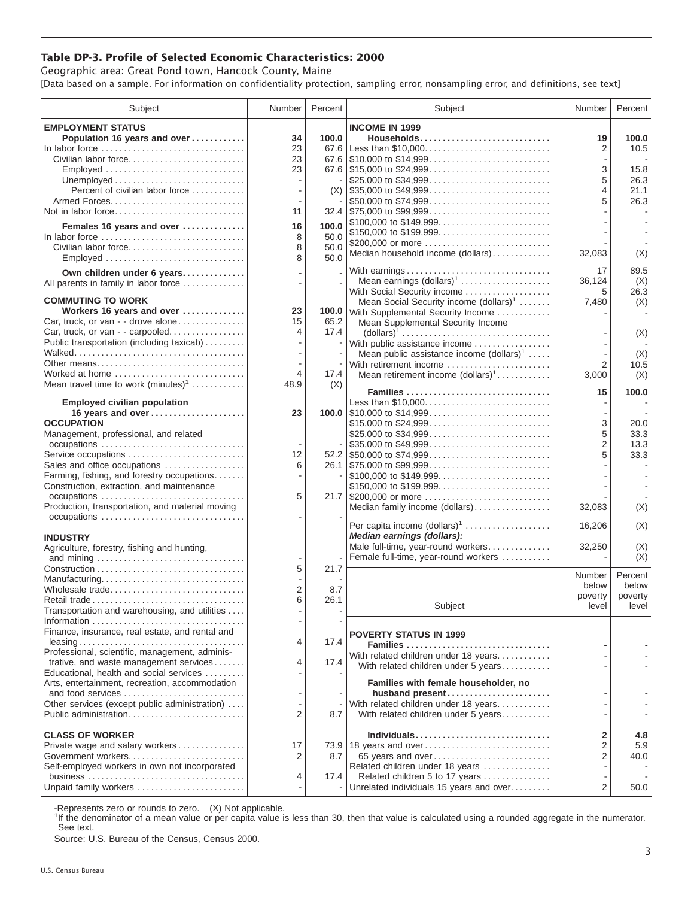## **Table DP-3. Profile of Selected Economic Characteristics: 2000**

Geographic area: Great Pond town, Hancock County, Maine [Data based on a sample. For information on confidentiality protection, sampling error, nonsampling error, and definitions, see text]

| Subject                                                                         | Number   | Percent | Subject                                                                                                                 | Number              | Percent          |
|---------------------------------------------------------------------------------|----------|---------|-------------------------------------------------------------------------------------------------------------------------|---------------------|------------------|
| <b>EMPLOYMENT STATUS</b>                                                        |          |         | <b>INCOME IN 1999</b>                                                                                                   |                     |                  |
| Population 16 years and over                                                    | 34       | 100.0   | Households                                                                                                              | 19                  | 100.0            |
| In labor force                                                                  | 23       | 67.6    | Less than \$10,000                                                                                                      | 2                   | 10.5             |
| Civilian labor force                                                            | 23<br>23 |         |                                                                                                                         | 3                   | 15.8             |
| Employed                                                                        |          |         | \$25,000 to \$34,999                                                                                                    | 5                   | 26.3             |
| Percent of civilian labor force                                                 |          |         | $(X)$ \\ \$35,000 to \$49,999                                                                                           | 4                   | 21.1             |
|                                                                                 |          |         | \$50,000 to \$74,999                                                                                                    | 5                   | 26.3             |
| Not in labor force                                                              | 11       |         | $32.4$ \\ \$75,000 to \$99,999                                                                                          |                     |                  |
| Females 16 years and over                                                       | 16       | 100.0   | \$100,000 to \$149,999                                                                                                  |                     |                  |
| In labor force                                                                  | 8        | 50.0    | \$200,000 or more                                                                                                       |                     |                  |
| Civilian labor force                                                            | 8        | 50.0    | Median household income (dollars)                                                                                       | 32,083              | (X)              |
| Employed                                                                        | 8        | 50.0    |                                                                                                                         |                     |                  |
| Own children under 6 years                                                      |          |         | With earnings<br>Mean earnings (dollars) <sup>1</sup>                                                                   | 17<br>36,124        | 89.5<br>(X)      |
| All parents in family in labor force                                            |          |         | With Social Security income                                                                                             | 5                   | 26.3             |
| <b>COMMUTING TO WORK</b>                                                        |          |         | Mean Social Security income (dollars) <sup>1</sup>                                                                      | 7,480               | (X)              |
| Workers 16 years and over                                                       | 23       |         | 100.0 With Supplemental Security Income                                                                                 |                     |                  |
| Car, truck, or van - - drove alone                                              | 15       | 65.2    | Mean Supplemental Security Income                                                                                       |                     |                  |
| Car, truck, or van - - carpooled<br>Public transportation (including taxicab)   | 4        | 17.4    | $\text{(dollars)}^1 \dots \dots \dots \dots \dots \dots \dots \dots \dots \dots \dots$<br>With public assistance income |                     | (X)              |
|                                                                                 |          |         | Mean public assistance income $(dollars)^1 \ldots$ .                                                                    |                     | (X)              |
| Other means                                                                     |          |         | With retirement income                                                                                                  | $\overline{2}$      | 10.5             |
| Worked at home                                                                  | 4        | 17.4    | Mean retirement income (dollars) <sup>1</sup>                                                                           | 3,000               | (X)              |
| Mean travel time to work $(minutes)^1$                                          | 48.9     | (X)     | Families                                                                                                                | 15                  | 100.0            |
| <b>Employed civilian population</b>                                             |          |         | Less than \$10,000                                                                                                      |                     |                  |
| 16 years and over                                                               | 23       |         |                                                                                                                         |                     |                  |
| <b>OCCUPATION</b>                                                               |          |         | \$15,000 to \$24,999                                                                                                    | 3                   | 20.0             |
| Management, professional, and related                                           |          |         |                                                                                                                         | 5                   | 33.3             |
| Service occupations                                                             | 12       |         | $\frac{1}{2}$ \$35,000 to \$49,999                                                                                      | $\overline{2}$<br>5 | 13.3<br>33.3     |
| Sales and office occupations                                                    | 6        |         |                                                                                                                         |                     |                  |
| Farming, fishing, and forestry occupations                                      |          |         |                                                                                                                         |                     |                  |
| Construction, extraction, and maintenance                                       |          |         |                                                                                                                         |                     |                  |
|                                                                                 | 5        |         | 21.7 \$200,000 or more                                                                                                  |                     |                  |
| Production, transportation, and material moving                                 |          |         | Median family income (dollars)                                                                                          | 32,083              | (X)              |
|                                                                                 |          |         | Per capita income (dollars) <sup>1</sup>                                                                                | 16,206              | (X)              |
| <b>INDUSTRY</b>                                                                 |          |         | Median earnings (dollars):                                                                                              |                     |                  |
| Agriculture, forestry, fishing and hunting,                                     |          |         | Male full-time, year-round workers                                                                                      | 32,250              | (X)              |
|                                                                                 | 5        | 21.7    | Female full-time, year-round workers                                                                                    |                     | (X)              |
| Manufacturing                                                                   |          |         |                                                                                                                         | Number              | Percent          |
| Wholesale trade                                                                 | 2        | 8.7     |                                                                                                                         | below               | below            |
| Retail trade                                                                    | 6        | 26.1    | Subject                                                                                                                 | poverty<br>level    | poverty<br>level |
| Transportation and warehousing, and utilities                                   |          |         |                                                                                                                         |                     |                  |
| Finance, insurance, real estate, and rental and                                 |          |         |                                                                                                                         |                     |                  |
| $leasing \ldots \ldots \ldots \ldots \ldots \ldots \ldots \ldots \ldots \ldots$ | 4        | 17.4    | <b>POVERTY STATUS IN 1999</b><br>Families                                                                               |                     |                  |
| Professional, scientific, management, adminis-                                  |          |         | With related children under 18 years                                                                                    |                     |                  |
| trative, and waste management services                                          | 4        | 17.4    | With related children under 5 years                                                                                     |                     |                  |
| Educational, health and social services                                         |          |         | Families with female householder, no                                                                                    |                     |                  |
| Arts, entertainment, recreation, accommodation<br>and food services             |          |         | husband present                                                                                                         |                     |                  |
| Other services (except public administration)                                   |          |         | With related children under 18 years                                                                                    |                     |                  |
| Public administration                                                           | 2        | 8.7     | With related children under 5 years                                                                                     |                     |                  |
|                                                                                 |          |         |                                                                                                                         |                     |                  |
| <b>CLASS OF WORKER</b>                                                          | 17       |         | Individuals<br>73.9 18 years and over                                                                                   | 2<br>2              | 4.8<br>5.9       |
| Private wage and salary workers<br>Government workers                           | 2        | 8.7     | 65 years and over                                                                                                       | $\overline{2}$      | 40.0             |
| Self-employed workers in own not incorporated                                   |          |         | Related children under 18 years                                                                                         |                     |                  |
|                                                                                 | 4        | 17.4    | Related children 5 to 17 years                                                                                          |                     |                  |
| Unpaid family workers                                                           |          |         | Unrelated individuals 15 years and over                                                                                 | 2                   | 50.0             |

-Represents zero or rounds to zero. (X) Not applicable.

<sup>1</sup>If the denominator of a mean value or per capita value is less than 30, then that value is calculated using a rounded aggregate in the numerator. See text.

Source: U.S. Bureau of the Census, Census 2000.